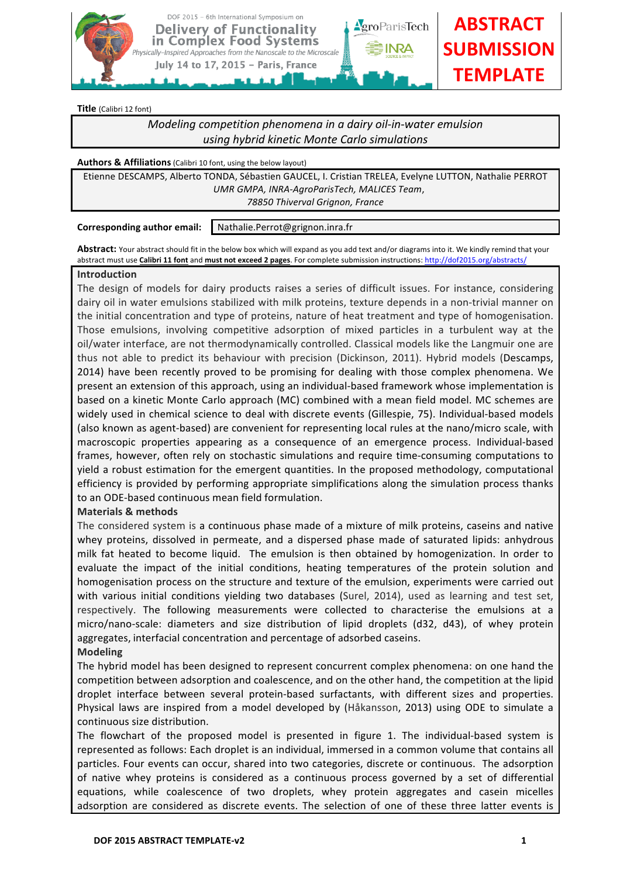

**Title** (Calibri 12 font)

# *Modeling competition phenomena in a dairy oil-in-water emulsion using hybrid kinetic Monte Carlo simulations*

#### **Authors & Affiliations** (Calibri 10 font, using the below layout)

Etienne DESCAMPS, Alberto TONDA, Sébastien GAUCEL, I. Cristian TRELEA, Evelyne LUTTON, Nathalie PERROT *UMR GMPA, INRA-AgroParisTech, MALICES Team*, *78850 Thiverval Grignon, France*

**Corresponding author email:** Nathalie.Perrot@grignon.inra.fr

Abstract: Your abstract should fit in the below box which will expand as you add text and/or diagrams into it. We kindly remind that your abstract must use **Calibri 11 font** and must not exceed 2 pages. For complete submission instructions: http://dof2015.org/abstracts/

#### **Introduction**

The design of models for dairy products raises a series of difficult issues. For instance, considering dairy oil in water emulsions stabilized with milk proteins, texture depends in a non-trivial manner on the initial concentration and type of proteins, nature of heat treatment and type of homogenisation. Those emulsions, involving competitive adsorption of mixed particles in a turbulent way at the oil/water interface, are not thermodynamically controlled. Classical models like the Langmuir one are thus not able to predict its behaviour with precision (Dickinson, 2011). Hybrid models (Descamps, 2014) have been recently proved to be promising for dealing with those complex phenomena. We present an extension of this approach, using an individual-based framework whose implementation is based on a kinetic Monte Carlo approach (MC) combined with a mean field model. MC schemes are widely used in chemical science to deal with discrete events (Gillespie, 75). Individual-based models (also known as agent-based) are convenient for representing local rules at the nano/micro scale, with macroscopic properties appearing as a consequence of an emergence process. Individual-based frames, however, often rely on stochastic simulations and require time-consuming computations to yield a robust estimation for the emergent quantities. In the proposed methodology, computational efficiency is provided by performing appropriate simplifications along the simulation process thanks to an ODE-based continuous mean field formulation.

## **Materials & methods**

The considered system is a continuous phase made of a mixture of milk proteins, caseins and native whey proteins, dissolved in permeate, and a dispersed phase made of saturated lipids: anhydrous milk fat heated to become liquid. The emulsion is then obtained by homogenization. In order to evaluate the impact of the initial conditions, heating temperatures of the protein solution and homogenisation process on the structure and texture of the emulsion, experiments were carried out with various initial conditions yielding two databases (Surel, 2014), used as learning and test set, respectively. The following measurements were collected to characterise the emulsions at a micro/nano-scale: diameters and size distribution of lipid droplets (d32, d43), of whey protein aggregates, interfacial concentration and percentage of adsorbed caseins.

## **Modeling**

The hybrid model has been designed to represent concurrent complex phenomena: on one hand the competition between adsorption and coalescence, and on the other hand, the competition at the lipid droplet interface between several protein-based surfactants, with different sizes and properties. Physical laws are inspired from a model developed by (Håkansson, 2013) using ODE to simulate a continuous size distribution.

The flowchart of the proposed model is presented in figure 1. The individual-based system is represented as follows: Each droplet is an individual, immersed in a common volume that contains all particles. Four events can occur, shared into two categories, discrete or continuous. The adsorption of native whey proteins is considered as a continuous process governed by a set of differential equations, while coalescence of two droplets, whey protein aggregates and casein micelles adsorption are considered as discrete events. The selection of one of these three latter events is